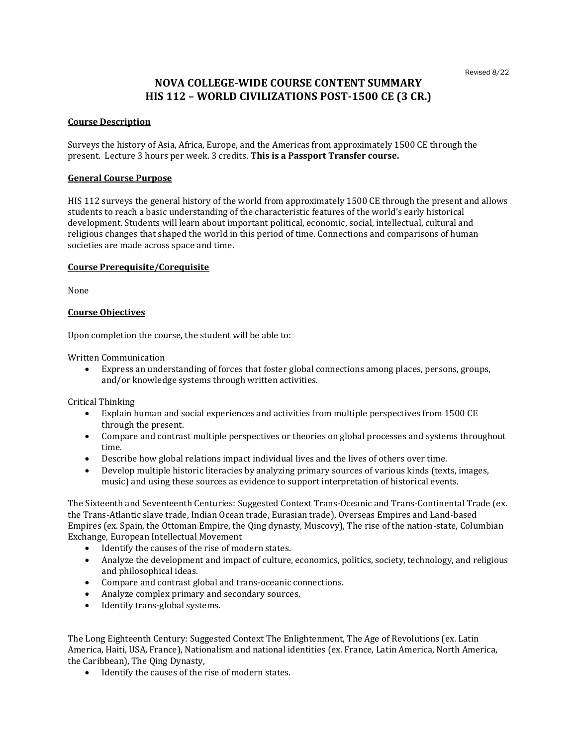# **NOVA COLLEGE-WIDE COURSE CONTENT SUMMARY HIS 112 – WORLD CIVILIZATIONS POST-1500 CE (3 CR.)**

## **Course Description**

Surveys the history of Asia, Africa, Europe, and the Americas from approximately 1500 CE through the present. Lecture 3 hours per week. 3 credits. **This is a Passport Transfer course.**

## **General Course Purpose**

HIS 112 surveys the general history of the world from approximately 1500 CE through the present and allows students to reach a basic understanding of the characteristic features of the world's early historical development. Students will learn about important political, economic, social, intellectual, cultural and religious changes that shaped the world in this period of time. Connections and comparisons of human societies are made across space and time.

#### **Course Prerequisite/Corequisite**

None

# **Course Objectives**

Upon completion the course, the student will be able to:

Written Communication

• Express an understanding of forces that foster global connections among places, persons, groups, and/or knowledge systems through written activities.

Critical Thinking

- Explain human and social experiences and activities from multiple perspectives from 1500 CE through the present.
- Compare and contrast multiple perspectives or theories on global processes and systems throughout time.
- Describe how global relations impact individual lives and the lives of others over time.
- Develop multiple historic literacies by analyzing primary sources of various kinds (texts, images, music) and using these sources as evidence to support interpretation of historical events.

The Sixteenth and Seventeenth Centuries: Suggested Context Trans-Oceanic and Trans-Continental Trade (ex. the Trans-Atlantic slave trade, Indian Ocean trade, Eurasian trade), Overseas Empires and Land-based Empires (ex. Spain, the Ottoman Empire, the Qing dynasty, Muscovy), The rise of the nation-state, Columbian Exchange, European Intellectual Movement

- Identify the causes of the rise of modern states.
- Analyze the development and impact of culture, economics, politics, society, technology, and religious and philosophical ideas.
- Compare and contrast global and trans-oceanic connections.
- Analyze complex primary and secondary sources.
- Identify trans-global systems.

The Long Eighteenth Century: Suggested Context The Enlightenment, The Age of Revolutions (ex. Latin America, Haiti, USA, France), Nationalism and national identities (ex. France, Latin America, North America, the Caribbean), The Qing Dynasty,

• Identify the causes of the rise of modern states.